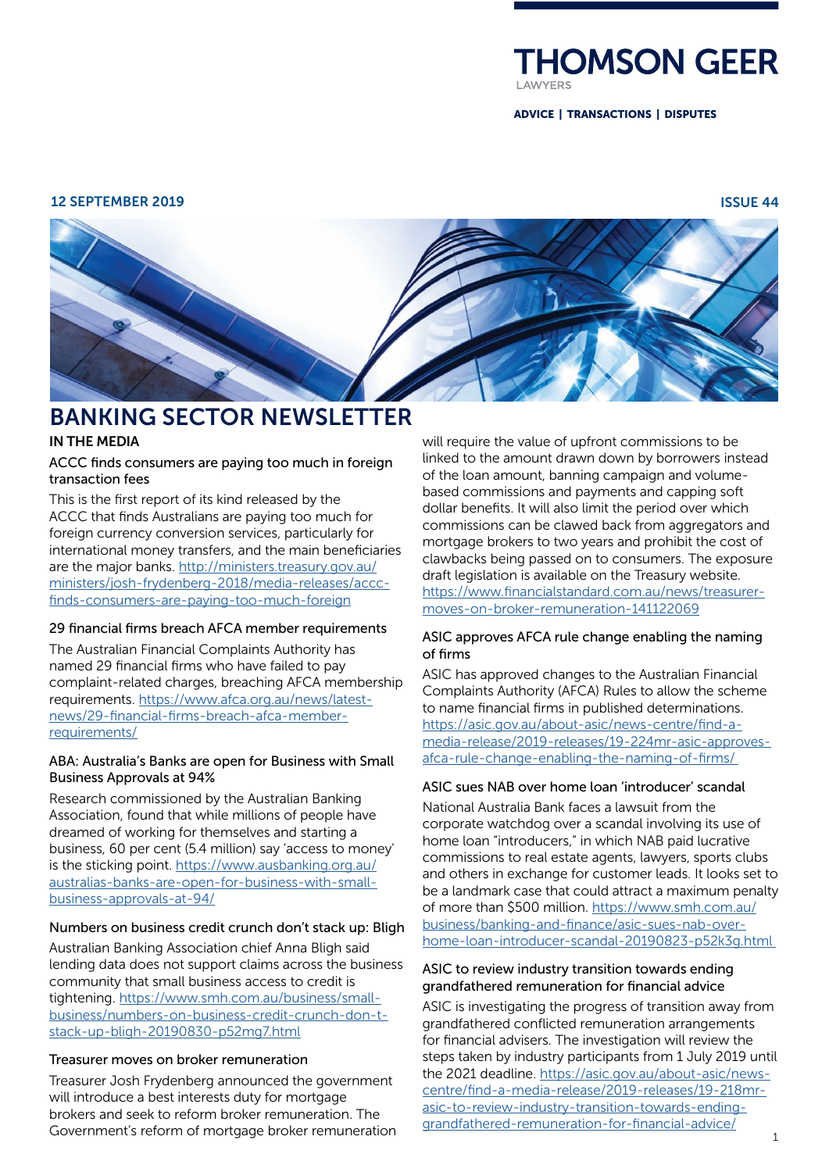

ADVICE | TRANSACTIONS | DISPUTES

#### 12 SEPTEMBER 2019 ISSUE 44



# BANKING SECTOR NEWSLETTER

# IN THE MEDIA

# ACCC finds consumers are paying too much in foreign transaction fees

This is the first report of its kind released by the ACCC that finds Australians are paying too much for foreign currency conversion services, particularly for international money transfers, and the main beneficiaries are the major banks. [http://ministers.treasury.gov.au/](http://ministers.treasury.gov.au/ministers/josh-frydenberg-2018/media-releases/accc-finds-consumers-are-paying-too-much-foreign) [ministers/josh-frydenberg-2018/media-releases/accc](http://ministers.treasury.gov.au/ministers/josh-frydenberg-2018/media-releases/accc-finds-consumers-are-paying-too-much-foreign)[finds-consumers-are-paying-too-much-foreign](http://ministers.treasury.gov.au/ministers/josh-frydenberg-2018/media-releases/accc-finds-consumers-are-paying-too-much-foreign)

#### 29 financial firms breach AFCA member requirements

The Australian Financial Complaints Authority has named 29 financial firms who have failed to pay complaint-related charges, breaching AFCA membership requirements. [https://www.afca.org.au/news/latest](https://www.afca.org.au/news/latest-news/29-financial-firms-breach-afca-member-requirements/)[news/29-financial-firms-breach-afca-member](https://www.afca.org.au/news/latest-news/29-financial-firms-breach-afca-member-requirements/)[requirements/](https://www.afca.org.au/news/latest-news/29-financial-firms-breach-afca-member-requirements/)

# ABA: Australia's Banks are open for Business with Small Business Approvals at 94%

Research commissioned by the Australian Banking Association, found that while millions of people have dreamed of working for themselves and starting a business, 60 per cent (5.4 million) say 'access to money' is the sticking point. [https://www.ausbanking.org.au/](https://www.ausbanking.org.au/australias-banks-are-open-for-business-with-small-business-approvals-at-94/) [australias-banks-are-open-for-business-with-small](https://www.ausbanking.org.au/australias-banks-are-open-for-business-with-small-business-approvals-at-94/)[business-approvals-at-94/](https://www.ausbanking.org.au/australias-banks-are-open-for-business-with-small-business-approvals-at-94/)

# Numbers on business credit crunch don't stack up: Bligh

Australian Banking Association chief Anna Bligh said lending data does not support claims across the business community that small business access to credit is tightening. [https://www.smh.com.au/business/small](https://www.smh.com.au/business/small-business/numbers-on-business-credit-crunch-don-t-stack-up-bligh-20190830-p52mg7.html)[business/numbers-on-business-credit-crunch-don-t](https://www.smh.com.au/business/small-business/numbers-on-business-credit-crunch-don-t-stack-up-bligh-20190830-p52mg7.html)[stack-up-bligh-20190830-p52mg7.html](https://www.smh.com.au/business/small-business/numbers-on-business-credit-crunch-don-t-stack-up-bligh-20190830-p52mg7.html)

# Treasurer moves on broker remuneration

Treasurer Josh Frydenberg announced the government will introduce a best interests duty for mortgage brokers and seek to reform broker remuneration. The Government's reform of mortgage broker remuneration will require the value of upfront commissions to be linked to the amount drawn down by borrowers instead of the loan amount, banning campaign and volumebased commissions and payments and capping soft dollar benefits. It will also limit the period over which commissions can be clawed back from aggregators and mortgage brokers to two years and prohibit the cost of clawbacks being passed on to consumers. The exposure draft legislation is available on the Treasury website. [https://www.financialstandard.com.au/news/treasurer](https://www.financialstandard.com.au/news/treasurer-moves-on-broker-remuneration-141122069)[moves-on-broker-remuneration-141122069](https://www.financialstandard.com.au/news/treasurer-moves-on-broker-remuneration-141122069)

# ASIC approves AFCA rule change enabling the naming of firms

ASIC has approved changes to the Australian Financial Complaints Authority (AFCA) Rules to allow the scheme to name financial firms in published determinations. [https://asic.gov.au/about-asic/news-centre/find-a](https://asic.gov.au/about-asic/news-centre/find-a-media-release/2019-releases/19-224mr-asic-approves-afca-rule-change-enabling-the-naming-of-firms/)[media-release/2019-releases/19-224mr-asic-approves](https://asic.gov.au/about-asic/news-centre/find-a-media-release/2019-releases/19-224mr-asic-approves-afca-rule-change-enabling-the-naming-of-firms/)[afca-rule-change-enabling-the-naming-of-firms/](https://asic.gov.au/about-asic/news-centre/find-a-media-release/2019-releases/19-224mr-asic-approves-afca-rule-change-enabling-the-naming-of-firms/) 

# ASIC sues NAB over home loan 'introducer' scandal

National Australia Bank faces a lawsuit from the corporate watchdog over a scandal involving its use of home loan "introducers," in which NAB paid lucrative commissions to real estate agents, lawyers, sports clubs and others in exchange for customer leads. It looks set to be a landmark case that could attract a maximum penalty of more than \$500 million. [https://www.smh.com.au/](https://www.smh.com.au/business/banking-and-finance/asic-sues-nab-over-home-loan-introducer-scandal-20190823-p52k3g.html) [business/banking-and-finance/asic-sues-nab-over](https://www.smh.com.au/business/banking-and-finance/asic-sues-nab-over-home-loan-introducer-scandal-20190823-p52k3g.html)[home-loan-introducer-scandal-20190823-p52k3g.html](https://www.smh.com.au/business/banking-and-finance/asic-sues-nab-over-home-loan-introducer-scandal-20190823-p52k3g.html) 

#### ASIC to review industry transition towards ending grandfathered remuneration for financial advice

ASIC is investigating the progress of transition away from grandfathered conflicted remuneration arrangements for financial advisers. The investigation will review the steps taken by industry participants from 1 July 2019 until the 2021 deadline. [https://asic.gov.au/about-asic/news](https://asic.gov.au/about-asic/news-centre/find-a-media-release/2019-releases/19-218mr-asic-to-review-industry-transition-towards-ending-grandfathered-remuneration-for-financial-advice/)[centre/find-a-media-release/2019-releases/19-218mr](https://asic.gov.au/about-asic/news-centre/find-a-media-release/2019-releases/19-218mr-asic-to-review-industry-transition-towards-ending-grandfathered-remuneration-for-financial-advice/)[asic-to-review-industry-transition-towards-ending](https://asic.gov.au/about-asic/news-centre/find-a-media-release/2019-releases/19-218mr-asic-to-review-industry-transition-towards-ending-grandfathered-remuneration-for-financial-advice/)[grandfathered-remuneration-for-financial-advice/](https://asic.gov.au/about-asic/news-centre/find-a-media-release/2019-releases/19-218mr-asic-to-review-industry-transition-towards-ending-grandfathered-remuneration-for-financial-advice/)